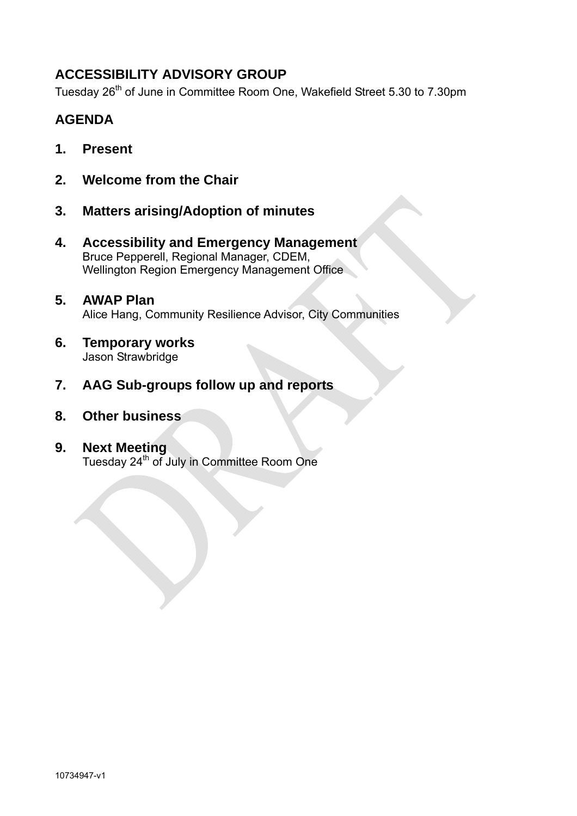# **ACCESSIBILITY ADVISORY GROUP**

Tuesday 26<sup>th</sup> of June in Committee Room One, Wakefield Street 5.30 to 7.30pm

# **AGENDA**

- **1. Present**
- **2. Welcome from the Chair**
- **3. Matters arising/Adoption of minutes**
- **4. Accessibility and Emergency Management**  Bruce Pepperell, Regional Manager, CDEM, Wellington Region Emergency Management Office
- **5. AWAP Plan**  Alice Hang, Community Resilience Advisor, City Communities
- **6. Temporary works**  Jason Strawbridge
- **7. AAG Sub-groups follow up and reports**
- **8. Other business**
- **9. Next Meeting**  Tuesday 24<sup>th</sup> of July in Committee Room One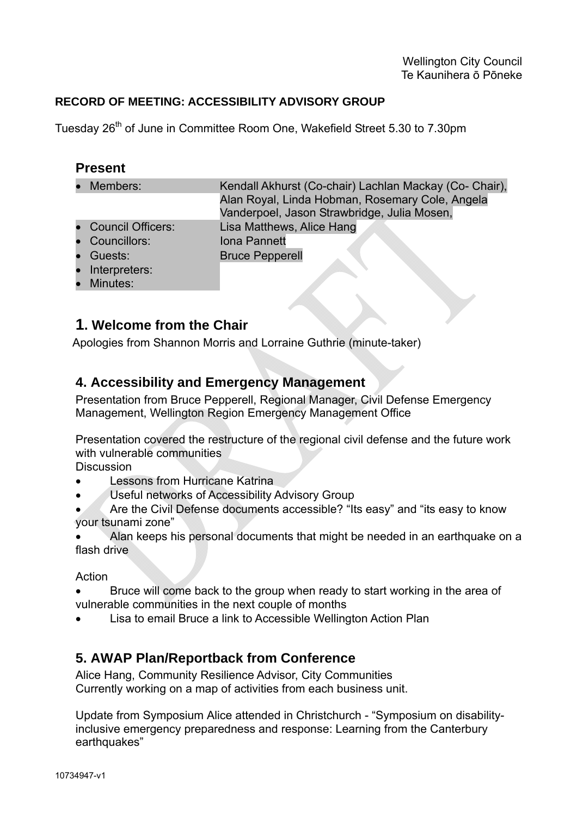### **RECORD OF MEETING: ACCESSIBILITY ADVISORY GROUP**

Tuesday 26<sup>th</sup> of June in Committee Room One, Wakefield Street 5.30 to 7.30pm

#### **Present**

- Members: Kendall Akhurst (Co-chair) Lachlan Mackay (Co- Chair), Alan Royal, Linda Hobman, Rosemary Cole, Angela Vanderpoel, Jason Strawbridge, Julia Mosen, • Council Officers: Lisa Matthews, Alice Hang • Councillors: Iona Pannett • Guests: Bruce Pepperell
- Interpreters:
- Minutes:

## **1. Welcome from the Chair**

Apologies from Shannon Morris and Lorraine Guthrie (minute-taker)

## **4. Accessibility and Emergency Management**

Presentation from Bruce Pepperell, Regional Manager, Civil Defense Emergency Management, Wellington Region Emergency Management Office

Presentation covered the restructure of the regional civil defense and the future work with vulnerable communities

**Discussion** 

- Lessons from Hurricane Katrina
- Useful networks of Accessibility Advisory Group

• Are the Civil Defense documents accessible? "Its easy" and "its easy to know your tsunami zone"

• Alan keeps his personal documents that might be needed in an earthquake on a flash drive

#### Action

- Bruce will come back to the group when ready to start working in the area of vulnerable communities in the next couple of months
- Lisa to email Bruce a link to Accessible Wellington Action Plan

## **5. AWAP Plan/Reportback from Conference**

Alice Hang, Community Resilience Advisor, City Communities Currently working on a map of activities from each business unit.

Update from Symposium Alice attended in Christchurch - "Symposium on disabilityinclusive emergency preparedness and response: Learning from the Canterbury earthquakes"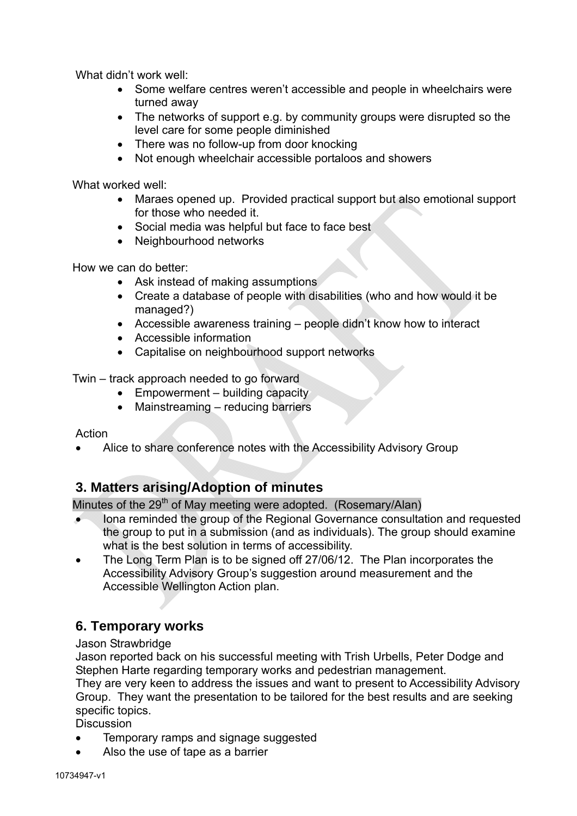What didn't work well:

- Some welfare centres weren't accessible and people in wheelchairs were turned away
- The networks of support e.g. by community groups were disrupted so the level care for some people diminished
- There was no follow-up from door knocking
- Not enough wheelchair accessible portaloos and showers

What worked well:

- Maraes opened up. Provided practical support but also emotional support for those who needed it.
- Social media was helpful but face to face best
- Neighbourhood networks

How we can do better:

- Ask instead of making assumptions
- Create a database of people with disabilities (who and how would it be managed?)
- Accessible awareness training people didn't know how to interact
- Accessible information
- Capitalise on neighbourhood support networks

Twin – track approach needed to go forward

- Empowerment building capacity
- Mainstreaming reducing barriers

Action

• Alice to share conference notes with the Accessibility Advisory Group

# **3. Matters arising/Adoption of minutes**

Minutes of the  $29<sup>th</sup>$  of May meeting were adopted. (Rosemary/Alan)

- Iona reminded the group of the Regional Governance consultation and requested the group to put in a submission (and as individuals). The group should examine what is the best solution in terms of accessibility.
- The Long Term Plan is to be signed off 27/06/12. The Plan incorporates the Accessibility Advisory Group's suggestion around measurement and the Accessible Wellington Action plan.

# **6. Temporary works**

Jason Strawbridge

Jason reported back on his successful meeting with Trish Urbells, Peter Dodge and Stephen Harte regarding temporary works and pedestrian management. They are very keen to address the issues and want to present to Accessibility Advisory Group. They want the presentation to be tailored for the best results and are seeking specific topics.

**Discussion** 

- Temporary ramps and signage suggested
- Also the use of tape as a barrier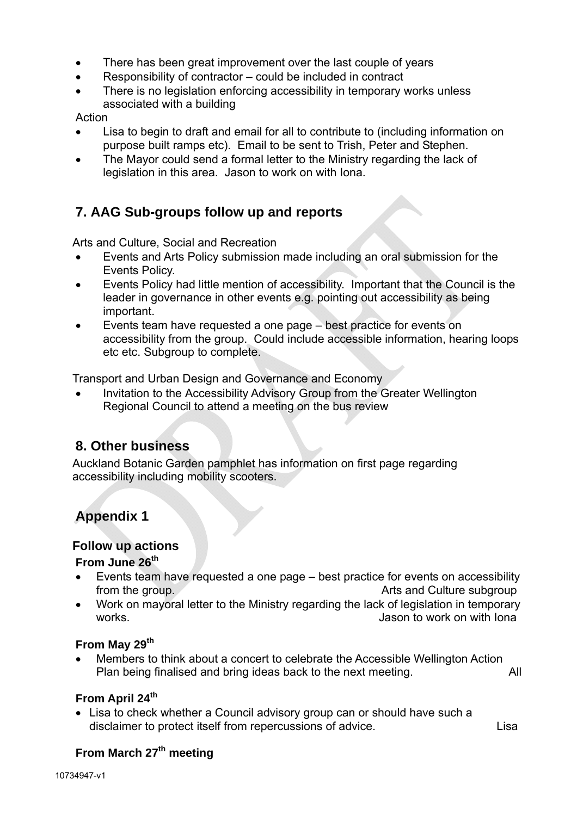- There has been great improvement over the last couple of years
- Responsibility of contractor could be included in contract
- There is no legislation enforcing accessibility in temporary works unless associated with a building

#### Action

- Lisa to begin to draft and email for all to contribute to (including information on purpose built ramps etc). Email to be sent to Trish, Peter and Stephen.
- The Mayor could send a formal letter to the Ministry regarding the lack of legislation in this area. Jason to work on with Iona.

# **7. AAG Sub-groups follow up and reports**

Arts and Culture, Social and Recreation

- Events and Arts Policy submission made including an oral submission for the Events Policy.
- Events Policy had little mention of accessibility. Important that the Council is the leader in governance in other events e.g. pointing out accessibility as being important.
- Events team have requested a one page best practice for events on accessibility from the group. Could include accessible information, hearing loops etc etc. Subgroup to complete.

Transport and Urban Design and Governance and Economy

• Invitation to the Accessibility Advisory Group from the Greater Wellington Regional Council to attend a meeting on the bus review

# **8. Other business**

Auckland Botanic Garden pamphlet has information on first page regarding accessibility including mobility scooters.

# **Appendix 1**

#### **Follow up actions**

#### **From June 26th**

- Events team have requested a one page best practice for events on accessibility from the group. The state of the state of the state of the state of the state of the state of the state of the state of the state of the state of the state of the state of the state of the state of the state of the state o
- Work on mayoral letter to the Ministry regarding the lack of legislation in temporary works. **Jason to work on with Iona** and work on with Iona

#### From May 29<sup>th</sup>

• Members to think about a concert to celebrate the Accessible Wellington Action Plan being finalised and bring ideas back to the next meeting. All

#### **From April 24th**

• Lisa to check whether a Council advisory group can or should have such a disclaimer to protect itself from repercussions of advice.

## **From March 27<sup>th</sup> meeting**